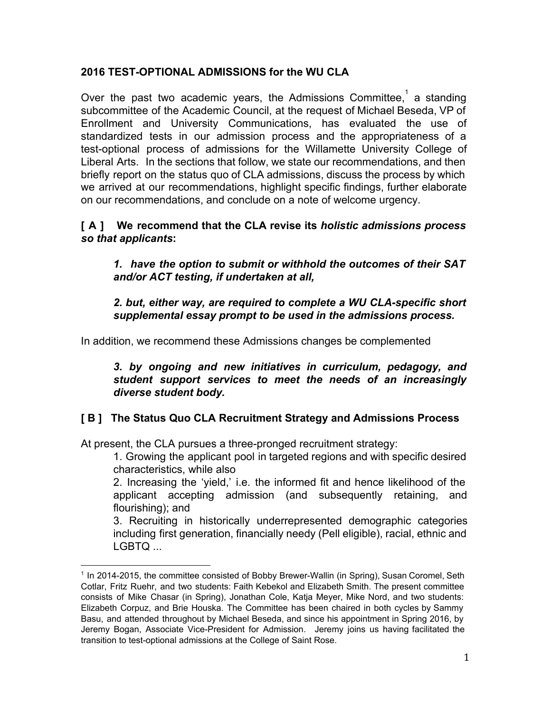# **2016 TESTOPTIONAL ADMISSIONS for the WU CLA**

Over the past two academic years, the Admissions Committee,  $1$  a standing subcommittee of the Academic Council, at the request of Michael Beseda, VP of Enrollment and University Communications, has evaluated the use of standardized tests in our admission process and the appropriateness of a test-optional process of admissions for the Willamette University College of Liberal Arts. In the sections that follow, we state our recommendations, and then briefly report on the status quo of CLA admissions, discuss the process by which we arrived at our recommendations, highlight specific findings, further elaborate on our recommendations, and conclude on a note of welcome urgency.

**[ A ] We recommend that the CLA revise its** *holistic admissions process so that applicants***:**

*1. have the option to submit or withhold the outcomes of their SAT and/or ACT testing, if undertaken at all,*

*2. but, either way, are required to complete a WU CLAspecific short supplemental essay prompt to be used in the admissions process.*

In addition, we recommend these Admissions changes be complemented

*3. by ongoing and new initiatives in curriculum, pedagogy, and student support services to meet the needs of an increasingly diverse student body.*

# **[ B ] The Status Quo CLA Recruitment Strategy and Admissions Process**

At present, the CLA pursues a three-pronged recruitment strategy:

1. Growing the applicant pool in targeted regions and with specific desired characteristics, while also

2. Increasing the 'yield,' i.e. the informed fit and hence likelihood of the applicant accepting admission (and subsequently retaining, and flourishing); and

3. Recruiting in historically underrepresented demographic categories including first generation, financially needy (Pell eligible), racial, ethnic and LGBTQ ...

<sup>&</sup>lt;sup>1</sup> In 2014-2015, the committee consisted of Bobby Brewer-Wallin (in Spring), Susan Coromel, Seth Cotlar, Fritz Ruehr, and two students: Faith Kebekol and Elizabeth Smith. The present committee consists of Mike Chasar (in Spring), Jonathan Cole, Katja Meyer, Mike Nord, and two students: Elizabeth Corpuz, and Brie Houska. The Committee has been chaired in both cycles by Sammy Basu, and attended throughout by Michael Beseda, and since his appointment in Spring 2016, by Jeremy Bogan, Associate Vice-President for Admission. Jeremy joins us having facilitated the transition to test-optional admissions at the College of Saint Rose.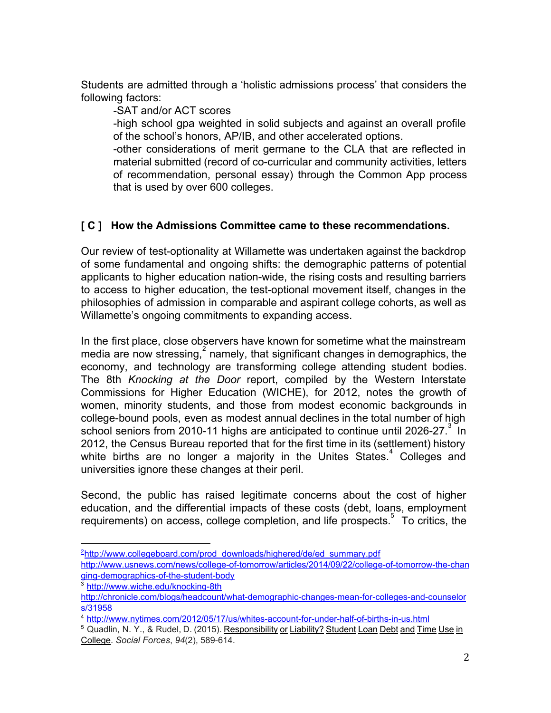Students are admitted through a 'holistic admissions process' that considers the following factors:

SAT and/or ACT scores

high school gpa weighted in solid subjects and against an overall profile of the school's honors, AP/IB, and other accelerated options.

other considerations of merit germane to the CLA that are reflected in material submitted (record of co-curricular and community activities, letters of recommendation, personal essay) through the Common App process that is used by over 600 colleges.

# **[ C ] How the Admissions Committee came to these recommendations.**

Our review of test-optionality at Willamette was undertaken against the backdrop of some fundamental and ongoing shifts: the demographic patterns of potential applicants to higher education nation-wide, the rising costs and resulting barriers to access to higher education, the test-optional movement itself, changes in the philosophies of admission in comparable and aspirant college cohorts, as well as Willamette's ongoing commitments to expanding access.

In the first place, close observers have known for sometime what the mainstream media are now stressing,  $2$  namely, that significant changes in demographics, the economy, and technology are transforming college attending student bodies. The 8th *Knocking at the Door* report, compiled by the Western Interstate Commissions for Higher Education (WICHE), for 2012, notes the growth of women, minority students, and those from modest economic backgrounds in college-bound pools, even as modest annual declines in the total number of high school seniors from 2010-11 highs are anticipated to continue until 2026-27. $3\degree$  In 2012, the Census Bureau reported that for the first time in its (settlement) history white births are no longer a majority in the Unites States.<sup>4</sup> Colleges and universities ignore these changes at their peril.

Second, the public has raised legitimate concerns about the cost of higher education, and the differential impacts of these costs (debt, loans, employment requirements) on access, college completion, and life prospects.<sup>5</sup> To critics, the

<sup>&</sup>lt;sup>2</sup>[http://www.collegeboard.com/prod\\_downloads/highered/de/ed\\_summary.pdf](http://www.collegeboard.com/prod_downloads/highered/de/ed_summary.pdf)

http://www.usnews.com/news/college-of-tomorrow/articles/2014/09/22/college-of-tomorrow-the-chan ging-demographics-of-the-student-body

<sup>&</sup>lt;sup>3</sup> http://www.wiche.edu/knocking-8th

http://chronicle.com/blogs/headcount/what-demographic-changes-mean-for-colleges-and-counselor [s/31958](http://chronicle.com/blogs/headcount/what-demographic-changes-mean-for-colleges-and-counselors/31958)

<sup>&</sup>lt;sup>4</sup> http://www.nytimes.com/2012/05/17/us/whites-account-for-under-half-of-births-in-us.html

<sup>&</sup>lt;sup>5</sup> Quadlin, N. Y., & Rudel, D. (2015). [Responsibility](http://sf.oxfordjournals.org/content/94/2/589.abstract) or Liability? Student Loan Debt and Time Use in [College.](http://sf.oxfordjournals.org/content/94/2/589.abstract) *Social Forces*,  $94(2)$ , 589-614.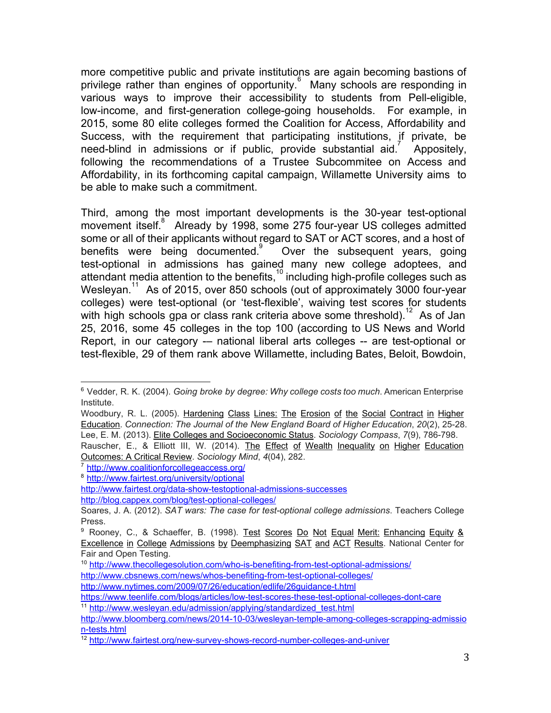more competitive public and private institutions are again becoming bastions of privilege rather than engines of opportunity.<sup>6</sup> Many schools are responding in various ways to improve their accessibility to students from Pell-eligible, low-income, and first-generation college-going households. For example, in 2015, some 80 elite colleges formed the Coalition for Access, Affordability and Success, with the requirement that participating institutions, if private, be need-blind in admissions or if public, provide substantial aid.<sup>7</sup> Appositely, following the recommendations of a Trustee Subcommitee on Access and Affordability, in its forthcoming capital campaign, Willamette University aims to be able to make such a commitment.

Third, among the most important developments is the 30-year test-optional movement itself.<sup>8</sup> Already by 1998, some 275 four-year US colleges admitted some or all of their applicants without regard to SAT or ACT scores, and a host of benefits were being documented.  $\degree$  Over the subsequent years, going test-optional in admissions has gained many new college adoptees, and attendant media attention to the benefits,  $10$  including high-profile colleges such as Wesleyan. $11$  As of 2015, over 850 schools (out of approximately 3000 four-year colleges) were test-optional (or 'test-flexible', waiving test scores for students with high schools gpa or class rank criteria above some threshold).<sup>12</sup> As of Jan 25, 2016, some 45 colleges in the top 100 (according to US News and World Report, in our category - national liberal arts colleges -- are test-optional or test-flexible, 29 of them rank above Willamette, including Bates, Beloit, Bowdoin,

<sup>6</sup> Vedder, R. K. (2004). *Going broke by degree: Why college costs too much*. American Enterprise Institute.

Woodbury, R. L. (2005). [Hardening](http://eric.ed.gov/?id=EJ792624) Class Lines: The Erosion of the Social Contract in Higher [Education.](http://eric.ed.gov/?id=EJ792624) *Connection: The Journal of the New England Board of Higher Education*, *20*(2), 2528. Lee, E. M. (2013). Elite Colleges and [Socioeconomic](http://onlinelibrary.wiley.com/doi/10.1111/soc4.12068/abstract) Status. *Sociology Compass*, 7(9), 786-798.

Rauscher, E., & Elliott III, W. (2014). The Effect of Wealth Inequality on Higher [Education](http://file.scirp.org/Html/4-3800332_50314.htm) [Outcomes:](http://file.scirp.org/Html/4-3800332_50314.htm) A Critical Review. *Sociology Mind*, *4*(04), 282.

<sup>7</sup> <http://www.coalitionforcollegeaccess.org/>

<sup>8</sup> <http://www.fairtest.org/university/optional>

http://www.fairtest.org/data-show-testoptional-admissions-successes http://blog.cappex.com/blog/test-optional-colleges/

Soares, J. A. (2012). *SAT wars: The case for testoptional college admissions*. Teachers College Press.

<sup>9</sup> Rooney, C., & Schaeffer, B. (1998). Test Scores Do Not Equal Merit: [Enhancing](http://eric.ed.gov/?id=ED426107) Equity & Excellence in College Admissions by [Deemphasizing](http://eric.ed.gov/?id=ED426107) SAT and ACT Results. National Center for Fair and Open Testing.

<sup>&</sup>lt;sup>10</sup> http://www.thecollegesolution.com/who-is-benefiting-from-test-optional-admissions/ http://www.cbsnews.com/news/whos-benefiting-from-test-optional-colleges/ http://www.nytimes.com/2009/07/26/education/edlife/26guidance-t.html

https://www.teenlife.com/blogs/articles/low-test-scores-these-test-optional-colleges-dont-care <sup>11</sup> [http://www.wesleyan.edu/admission/applying/standardized\\_test.html](http://www.wesleyan.edu/admission/applying/standardized_test.html)

http://www.bloomberg.com/news/2014-10-03/wesleyan-temple-among-colleges-scrapping-admissio n-tests.html

<sup>&</sup>lt;sup>12</sup> http://www.fairtest.org/new-survey-shows-record-number-colleges-and-univer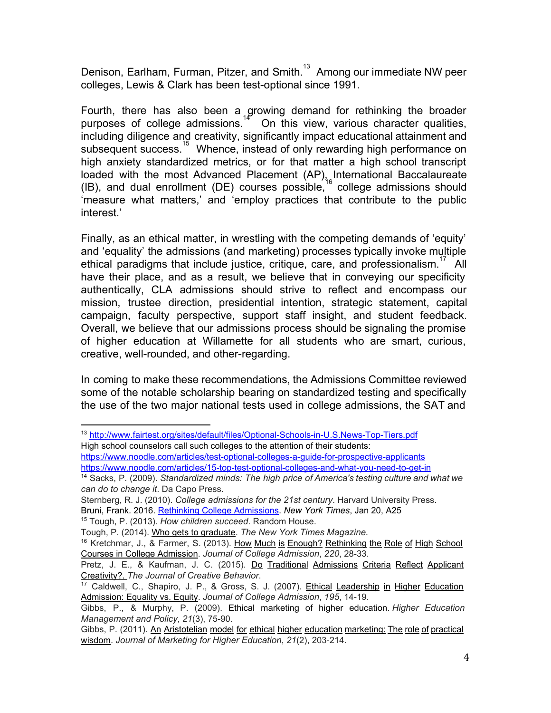Denison, Earlham, Furman, Pitzer, and Smith. $^{13}$  Among our immediate NW peer colleges, Lewis & Clark has been test-optional since 1991.

Fourth, there has also been a growing demand for rethinking the broader On this view, various character qualities, purposes of college admissions.<sup>14</sup> including diligence and creativity, significantly impact educational attainment and subsequent success.<sup>15</sup> Whence, instead of only rewarding high performance on high anxiety standardized metrics, or for that matter a high school transcript loaded with the most Advanced Placement (AP), International Baccalaureate (IB), and dual enrollment (DE) courses possible,  $16$  college admissions should 'measure what matters,' and 'employ practices that contribute to the public interest.'

Finally, as an ethical matter, in wrestling with the competing demands of 'equity' and 'equality' the admissions (and marketing) processes typically invoke multiple ethical paradigms that include justice, critique, care, and professionalism.<sup>17</sup> All have their place, and as a result, we believe that in conveying our specificity authentically, CLA admissions should strive to reflect and encompass our mission, trustee direction, presidential intention, strategic statement, capital campaign, faculty perspective, support staff insight, and student feedback. Overall, we believe that our admissions process should be signaling the promise of higher education at Willamette for all students who are smart, curious, creative, well-rounded, and other-regarding.

In coming to make these recommendations, the Admissions Committee reviewed some of the notable scholarship bearing on standardized testing and specifically the use of the two major national tests used in college admissions, the SAT and

https://www.noodle.com/articles/test-optional-colleges-a-guide-for-prospective-applicants

https://www.noodle.com/articles/15-top-test-optional-colleges-and-what-you-need-to-get-in

Bruni, Frank. 2016. Rethinking College [Admissions.](http://www.nytimes.com/2016/01/20/opinion/rethinking-college-admissions.htmlhttp://www.nytimes.com/2016/01/20/opinion/rethinking-college-admissions.html) *New York Times*, Jan 20, A25

<sup>15</sup> Tough, P. (2013). *How children succeed*. Random House.

Tough, P. (2014). Who gets to [graduate.](http://mobile.nytimes.com/2014/05/18/magazine/who-gets-to-graduate.html) *The New York Times Magazine.*

<sup>&</sup>lt;sup>13</sup> http://www.fairtest.org/sites/default/files/Optional-Schools-in-U.S.News-Top-Tiers.pdf High school counselors call such colleges to the attention of their students:

<sup>14</sup> Sacks, P. (2009). *Standardized minds: The high price of America's testing culture and what we can do to change it*. Da Capo Press.

Sternberg, R. J. (2010). *College admissions for the 21st century*. Harvard University Press.

<sup>&</sup>lt;sup>16</sup> Kretchmar, J., & Farmer, S. (2013). How Much is Enough? [Rethinking](http://eric.ed.gov/?id=EJ1011884) the Role of High School Courses in College [Admission.](http://eric.ed.gov/?id=EJ1011884) Journal of College Admission, 220, 28-33.

Pretz, J. E., & Kaufman, J. C. (2015). Do Traditional [Admissions](http://onlinelibrary.wiley.com/doi/10.1002/jocb.120/full) Criteria Reflect Applicant [Creativity?.](http://onlinelibrary.wiley.com/doi/10.1002/jocb.120/full) *The Journal of Creative Behavior*.

<sup>&</sup>lt;sup>17</sup> Caldwell, C., Shapiro, J. P., & Gross, S. J. (2007). Ethical [Leadership](http://eric.ed.gov/?id=EJ783947) in Higher Education [Admission:](http://eric.ed.gov/?id=EJ783947) Equality vs. Equity. Journal of College Admission, 195, 14-19.

Gibbs, P., & Murphy, P. (2009). Ethical [marketing](http://www.oecd-ilibrary.org/education/ethical-marketing-of-higher-education_hemp-v21-art20-en) of higher education. *Higher Education Management and Policy, 21(3), 75-90.* 

Gibbs, P. (2011). An [Aristotelian](http://www.tandfonline.com/doi/abs/10.1080/08841241.2011.623732) model for ethical higher education marketing: The role of practical [wisdom.](http://www.tandfonline.com/doi/abs/10.1080/08841241.2011.623732) *Journal of Marketing for Higher Education*, *21*(2), 203214.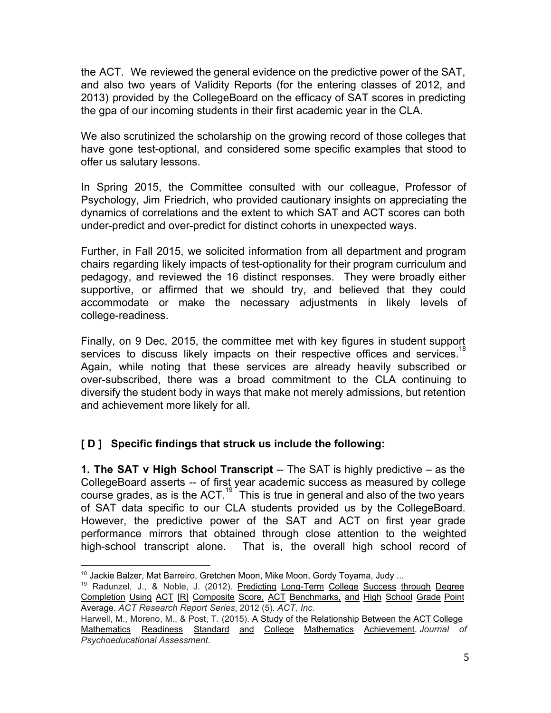the ACT. We reviewed the general evidence on the predictive power of the SAT, and also two years of Validity Reports (for the entering classes of 2012, and 2013) provided by the CollegeBoard on the efficacy of SAT scores in predicting the gpa of our incoming students in their first academic year in the CLA.

We also scrutinized the scholarship on the growing record of those colleges that have gone test-optional, and considered some specific examples that stood to offer us salutary lessons.

In Spring 2015, the Committee consulted with our colleague, Professor of Psychology, Jim Friedrich, who provided cautionary insights on appreciating the dynamics of correlations and the extent to which SAT and ACT scores can both under-predict and over-predict for distinct cohorts in unexpected ways.

Further, in Fall 2015, we solicited information from all department and program chairs regarding likely impacts of test-optionality for their program curriculum and pedagogy, and reviewed the 16 distinct responses. They were broadly either supportive, or affirmed that we should try, and believed that they could accommodate or make the necessary adjustments in likely levels of college-readiness.

Finally, on 9 Dec, 2015, the committee met with key figures in student support services to discuss likely impacts on their respective offices and services.<sup>18</sup> Again, while noting that these services are already heavily subscribed or over-subscribed, there was a broad commitment to the CLA continuing to diversify the student body in ways that make not merely admissions, but retention and achievement more likely for all.

# **[ D ] Specific findings that struck us include the following:**

**1. The SAT v High School Transcript** The SAT is highly predictive – as the CollegeBoard asserts -- of first year academic success as measured by college course grades, as is the ACT. $19^{37}$  This is true in general and also of the two years of SAT data specific to our CLA students provided us by the CollegeBoard. However, the predictive power of the SAT and ACT on first year grade performance mirrors that obtained through close attention to the weighted high-school transcript alone. That is, the overall high school record of

<sup>&</sup>lt;sup>18</sup> Jackie Balzer, Mat Barreiro, Gretchen Moon, Mike Moon, Gordy Toyama, Judy ...

<sup>&</sup>lt;sup>19</sup> Radunzel, J., & Noble, J. (2012). Predicting Long-Term College Success through Degree Completion Using ACT [R] Composite Score, ACT [Benchmarks,](http://eric.ed.gov/?id=ED542027) and High School Grade Point [Average.](http://eric.ed.gov/?id=ED542027) *ACT Research Report Series*, 2012 (5). *ACT, Inc.*

Harwell, M., Moreno, M., & Post, T. (2015). A Study of the [Relationship](http://jpa.sagepub.com/content/early/2015/07/06/0734282915594069.abstract) Between the ACT College Mathematics Readiness Standard and College Mathematics [Achievement.](http://jpa.sagepub.com/content/early/2015/07/06/0734282915594069.abstract) *Journal of Psychoeducational Assessment*.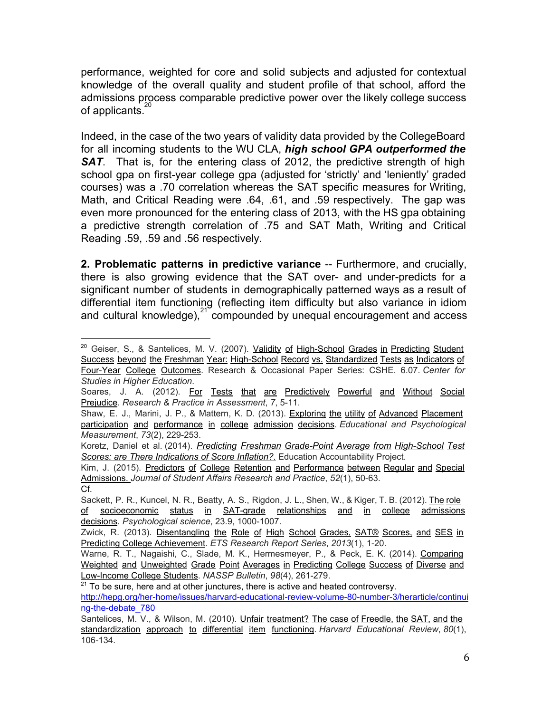performance, weighted for core and solid subjects and adjusted for contextual knowledge of the overall quality and student profile of that school, afford the admissions process comparable predictive power over the likely college success of applicants.<sup>20</sup>

Indeed, in the case of the two years of validity data provided by the CollegeBoard for all incoming students to the WU CLA, *high school GPA outperformed the* **SAT.** That is, for the entering class of 2012, the predictive strength of high school gpa on first-year college gpa (adjusted for 'strictly' and 'leniently' graded courses) was a .70 correlation whereas the SAT specific measures for Writing, Math, and Critical Reading were .64, .61, and .59 respectively. The gap was even more pronounced for the entering class of 2013, with the HS gpa obtaining a predictive strength correlation of .75 and SAT Math, Writing and Critical Reading .59, .59 and .56 respectively.

**2. Problematic patterns in predictive variance** Furthermore, and crucially, there is also growing evidence that the SAT over- and under-predicts for a significant number of students in demographically patterned ways as a result of differential item functioning (reflecting item difficulty but also variance in idiom and cultural knowledge), $21^{\circ}$  compounded by unequal encouragement and access

 $20$  Geiser, S., & Santelices, M. V. (2007). Validity of High-School Grades in Predicting Student Success beyond the Freshman Year: High-School Record vs. [Standardized](http://eprints.cdlib.org/uc/item/7306z0zf) Tests as Indicators of FourYear College [Outcomes.](http://eprints.cdlib.org/uc/item/7306z0zf) Research & Occasional Paper Series: CSHE. 6.07. *Center for Studies in Higher Education*.

Soares, J. A. (2012). For Tests that are [Predictively](http://search.proquest.com/docview/1505321416) Powerful and Without Social [Prejudice.](http://search.proquest.com/docview/1505321416) *Research & Practice in Assessment*, *7*, 511.

Shaw, E. J., Marini, J. P., & Mattern, K. D. (2013). Exploring the utility of Advanced [Placement](http://epm.sagepub.com/content/73/2/229.short) participation and [performance](http://epm.sagepub.com/content/73/2/229.short) in college admission decisions. *Educational and Psychological Measurement*, 73(2), 229-253.

Koretz, Daniel et al. (2014). *Predicting Freshman Grade-Point Average from High-School Test Scores: are There [Indications](http://projects.iq.harvard.edu/files/eap/files/cuny_fgpa_prediction_8.26.2014_wp.pdf) of Score Inflation?*[.](http://projects.iq.harvard.edu/files/eap/files/cuny_fgpa_prediction_8.26.2014_wp.pdf) Education Accountability Project.

Kim, J. (2015). Predictors of College Retention and [Performance](http://www.tandfonline.com/doi/abs/10.1080/19496591.2015.995575#.VrO9IxgrKRc) between Regular and Special [Admissions.](http://www.tandfonline.com/doi/abs/10.1080/19496591.2015.995575#.VrO9IxgrKRc) *Journal of Student Affairs Research and Practice*, *52*(1), 5063. Cf.

Sackett, P. R., Kuncel, N. R., Beatty, A. S., Rigdon, J. L., Shen, W., & Kiger, T. B. (2012). [The](http://pss.sagepub.com/content/early/2012/08/01/0956797612438732.abstract) role of [socioeconomic](http://pss.sagepub.com/content/early/2012/08/01/0956797612438732.abstract) status in SATgrade relationships and in college admissions [decisions.](http://pss.sagepub.com/content/early/2012/08/01/0956797612438732.abstract) Psychological science, 23.9, 1000-1007.

Zwick, R. (2013). [Disentangling](http://onlinelibrary.wiley.com/doi/10.1002/j.2333-8504.2013.tb02316.x/abstract) the Role of High School Grades, SAT® Scores, and SES in **Predicting College [Achievement.](http://onlinelibrary.wiley.com/doi/10.1002/j.2333-8504.2013.tb02316.x/abstract)** *ETS Research Report Series*, 2013(1), 1-20.

Warne, R. T., Nagaishi, C., Slade, M. K., Hermesmeyer, P., & Peck, E. K. (2014). [Comparing](http://bul.sagepub.com/content/98/4/261.short) Weighted and [Unweighted](http://bul.sagepub.com/content/98/4/261.short) Grade Point Averages in Predicting College Success of Diverse and Low-Income College Students. *NASSP Bulletin*, 98(4), 261-279.

 $21$  To be sure, here and at other junctures, there is active and heated controversy. http://hepg.org/her-home/issues/harvard-educational-review-volume-80-number-3/herarticle/continui ng-the-debate\_780

Santelices, M. V., & Wilson, M. (2010). Unfair [treatment?](http://hepg.org/her-home/issues/harvard-educational-review-volume-80-issue-1/herarticle/the-case-of-freedle,-the-sat,-and-the-standardizat) The case of Freedle, the SAT, and the [standardization](http://hepg.org/her-home/issues/harvard-educational-review-volume-80-issue-1/herarticle/the-case-of-freedle,-the-sat,-and-the-standardizat) approach to differential item functioning. *Harvard Educational Review*, *80*(1), 106-134.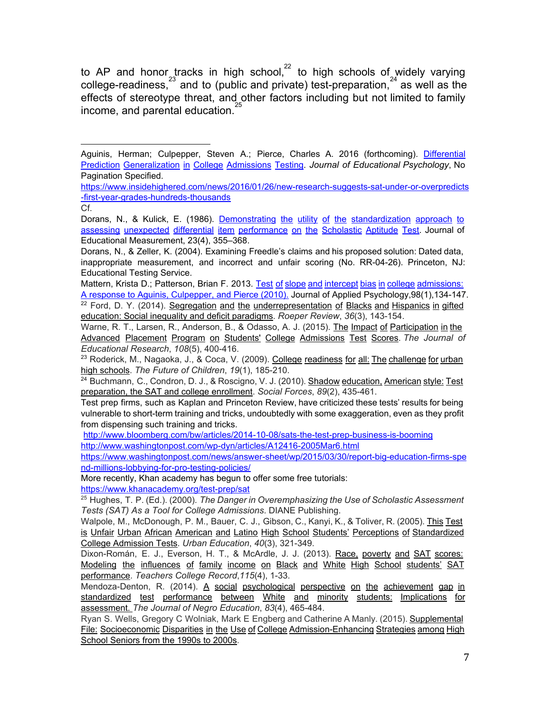to AP and honor tracks in high school, $2^2$  to high schools of widely varying college-readiness,  $23$  and to (public and private) test-preparation,  $24$  as well as the effects of stereotype threat, and other factors including but not limited to family income, and parental education. 25

More recently, Khan academy has begun to offer some free tutorials:

https://www.khanacademy.org/test-prep/sat

Aguinis, Herman; Culpepper, Steven A.; Pierce, Charles A. 2016 (forthcoming). [Differential](http://psycnet.apa.org/psycarticles/2016-03221-001) Prediction [Generalization](http://psycnet.apa.org/psycarticles/2016-03221-001) in College Admissions Testing. *Journal of Educational Psychology*, No Pagination Specified.

https://www.insidehighered.com/news/2016/01/26/new-research-suggests-sat-under-or-overpredicts -first-year-grades-hundreds-thousands

Cf.

Dorans, N., & Kulick, E. (1986). Demonstrating the utility of the [standardization](http://onlinelibrary.wiley.com/doi/10.1111/j.1745-3984.1986.tb00255.x/abstract) approach to assessing unexpected differential item [performance](http://onlinelibrary.wiley.com/doi/10.1111/j.1745-3984.1986.tb00255.x/abstract) on the Scholastic Aptitude Test. Journal of Educational Measurement, 23(4), 355–368.

Dorans, N., & Zeller, K. (2004). Examining Freedle's claims and his proposed solution: Dated data, inappropriate measurement, and incorrect and unfair scoring (No. RR-04-26). Princeton, NJ: Educational Testing Service.

Mattern, Krista D.; Patterson, Brian F. 2013. Test of slope and intercept bias in college [admissions:](http://psycnet.apa.org/journals/apl/98/1/134/) A response to Aguinis, [Culpepper,](http://psycnet.apa.org/journals/apl/98/1/134/) and Pierce (2010). Journal of Applied Psychology, 98(1), 134-147. <sup>22</sup> Ford, D. Y. (2014). Segregation and the [underrepresentation](http://www.tandfonline.com/doi/abs/10.1080/02783193.2014.919563) of Blacks and Hispanics in gifted education: Social inequality and deficit [paradigms.](http://www.tandfonline.com/doi/abs/10.1080/02783193.2014.919563) *Roeper Review*, 36(3), 143-154.

Warne, R. T., Larsen, R., Anderson, B., & Odasso, A. J. (2015). The Impact of [Participation](http://www.tandfonline.com/doi/abs/10.1080/00220671.2014.917253#.VrPAqRgrKRc) in the Advanced Placement Program on Students' College [Admissions](http://www.tandfonline.com/doi/abs/10.1080/00220671.2014.917253#.VrPAqRgrKRc) Test Scores. *The Journal of Educational Research, 108(5), 400-416.* 

<sup>&</sup>lt;sup>23</sup> Roderick, M., Nagaoka, J., & Coca, V. (2009). College [readiness](http://muse.jhu.edu/journals/future_of_children/v019/19.1.roderick.html) for all: The challenge for urban high [schools.](http://muse.jhu.edu/journals/future_of_children/v019/19.1.roderick.html) *The Future of Children*, *19*(1), 185210.

<sup>&</sup>lt;sup>24</sup> Buchmann, C., Condron, D. J., & Roscigno, V. J. (2010). Shadow [education,](http://sf.oxfordjournals.org/content/89/2/435.short) American style: Test [preparation,](http://sf.oxfordjournals.org/content/89/2/435.short) the SAT and college enrollment. *Social Forces*, 89(2), 435-461.

Test prep firms, such as Kaplan and Princeton Review, have criticized these tests' results for being vulnerable to short-term training and tricks, undoubtedly with some exaggeration, even as they profit from dispensing such training and tricks.

http://www.bloomberg.com/bw/articles/2014-10-08/sats-the-test-prep-business-is-booming http://www.washingtonpost.com/wp-dyn/articles/A12416-2005Mar6.html

https://www.washingtonpost.com/news/answer-sheet/wp/2015/03/30/report-big-education-firms-spe nd-millions-lobbying-for-pro-testing-policies/

<sup>25</sup> Hughes, T. P. (Ed.). (2000). *The Danger in Overemphasizing the Use of Scholastic Assessment Tests (SAT) As a Tool for College Admissions*. DIANE Publishing.

Walpole, M., McDonough, P. M., Bauer, C. J., Gibson, C., Kanyi, K., & Toliver, R. (2005). This [Test](http://uex.sagepub.com/content/40/3/321.short) is Unfair Urban African American and Latino High School Students' Perceptions of [Standardized](http://uex.sagepub.com/content/40/3/321.short) College [Admission](http://uex.sagepub.com/content/40/3/321.short) Tests. Urban Education, 40(3), 321-349.

Dixon-Román, E. J., Everson, H. T., & McArdle, J. J. (2013). Race, [poverty](http://works.bepress.com/ezekiel_dixon-roman/9/) and SAT scores: Modeling the [influences](http://works.bepress.com/ezekiel_dixon-roman/9/) of family income on Black and White High School students' SAT [performance.](http://works.bepress.com/ezekiel_dixon-roman/9/) *Teachers College Record*,*115*(4), 133.

Mendoza-Denton, R. (2014). A social [psychological](http://www.jstor.org/stable/10.7709/jnegroeducation.83.4.0465) perspective on the achievement gap in [standardized](http://www.jstor.org/stable/10.7709/jnegroeducation.83.4.0465) test performance between White and minority students: Implications for [assessment.](http://www.jstor.org/stable/10.7709/jnegroeducation.83.4.0465) *The Journal of Negro Education*, 83(4), 465-484.

Ryan S. Wells, Gregory C Wolniak, Mark E Engberg and Catherine A Manly. (2015). [Supplemental](http://works.bepress.com/ryan_wells/22/) File: Socioeconomic Disparities in the Use of College Admission-Enhancing Strategies among High School [Seniors](http://works.bepress.com/ryan_wells/22/) from the 1990s to 2000s.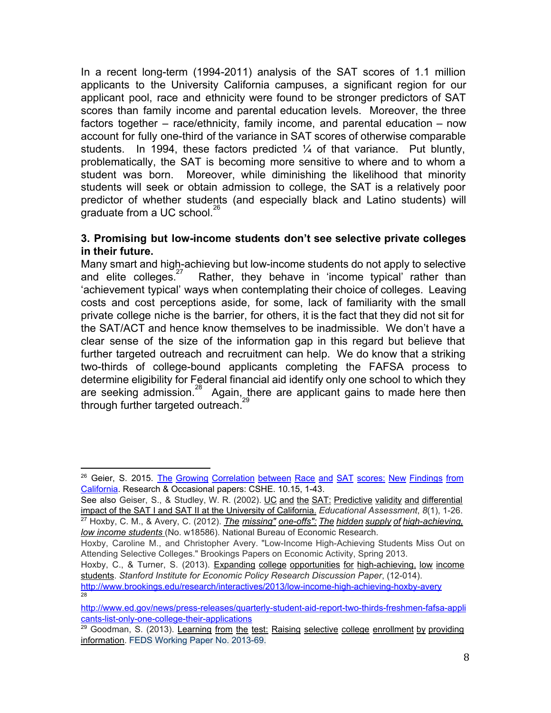In a recent long-term  $(1994-2011)$  analysis of the SAT scores of 1.1 million applicants to the University California campuses, a significant region for our applicant pool, race and ethnicity were found to be stronger predictors of SAT scores than family income and parental education levels. Moreover, the three factors together – race/ethnicity, family income, and parental education – now account for fully one-third of the variance in SAT scores of otherwise comparable students. In 1994, these factors predicted  $\frac{1}{4}$  of that variance. Put bluntly, problematically, the SAT is becoming more sensitive to where and to whom a student was born. Moreover, while diminishing the likelihood that minority students will seek or obtain admission to college, the SAT is a relatively poor predictor of whether students (and especially black and Latino students) will .<br>graduate from a UC school.<sup>26</sup>

### **3. Promising but lowincome students don't see selective private colleges in their future.**

Many smart and high-achieving but low-income students do not apply to selective and elite colleges.<sup>27</sup> Rather, they behave in 'income typical' rather than 'achievement typical' ways when contemplating their choice of colleges. Leaving costs and cost perceptions aside, for some, lack of familiarity with the small private college niche is the barrier, for others, it is the fact that they did not sit for the SAT/ACT and hence know themselves to be inadmissible. We don't have a clear sense of the size of the information gap in this regard but believe that further targeted outreach and recruitment can help. We do know that a striking two-thirds of college-bound applicants completing the FAFSA process to determine eligibility for Federal financial aid identify only one school to which they are seeking admission.<sup>28</sup> Again, there are applicant gains to made here then through further targeted outreach.<sup>29</sup>

28

<sup>&</sup>lt;sup>26</sup> Geier, S. 2015. The Growing [Correlation](http://www.cshe.berkeley.edu/sites/default/files/shared/publications/docs/ROPS.CSHE_.10.15.Geiser.RaceSAT.10.26.2015.pdfhttp://www.cshe.berkeley.edu/sites/default/files/shared/publications/docs/ROPS.CSHE_.10.15.Geiser.RaceSAT.10.26.2015.pdf) between Race and SAT scores: New Findings from [California](http://www.cshe.berkeley.edu/sites/default/files/shared/publications/docs/ROPS.CSHE_.10.15.Geiser.RaceSAT.10.26.2015.pdfhttp://www.cshe.berkeley.edu/sites/default/files/shared/publications/docs/ROPS.CSHE_.10.15.Geiser.RaceSAT.10.26.2015.pdf). Research & Occasional papers: CSHE. 10.15, 1-43.

See also Geiser, S., & Studley, W. R. (2002). UC and the SAT: Predictive validity and [differential](http://www.tandfonline.com/doi/abs/10.1207/S15326977EA0801_01) impact of the SAT I and SAT II at the University of [California.](http://www.tandfonline.com/doi/abs/10.1207/S15326977EA0801_01) *Educational Assessment*, *8*(1), 126. 27 Hoxby, C. M., & Avery, C. (2012). *The missing" one-offs": The hidden supply of high-achieving, low income [students](http://www.nber.org/papers/w18586)* [\(](http://www.nber.org/papers/w18586)No. w18586). National Bureau of Economic Research.

Hoxby, Caroline M., and Christopher Avery. "Low-Income High-Achieving Students Miss Out on Attending Selective Colleges." Brookings Papers on Economic Activity, Spring 2013.

Hoxby, C., & Turner, S. (2013). Expanding college opportunities for high-achieving, low income [students.](http://www8.gsb.columbia.edu/programs/sites/programs/files/finance/Applied%20Microeconomics/Caroline%20Hoxby.pdf) *Stanford Institute for Economic Policy Research Discussion Paper*, (12014). http://www.brookings.edu/research/interactives/2013/low-income-high-achieving-hoxby-avery

http://www.ed.gov/news/press-releases/quarterly-student-aid-report-two-thirds-freshmen-fafsa-appli cants-list-only-one-college-their-applications

<sup>&</sup>lt;sup>29</sup> Goodman, S. (2013). Learning from the test: Raising selective college [enrollment](http://papers.ssrn.com/sol3/papers.cfm?abstract_id=2350463) by providing [information.](http://papers.ssrn.com/sol3/papers.cfm?abstract_id=2350463) FEDS Working Paper No. 2013-69.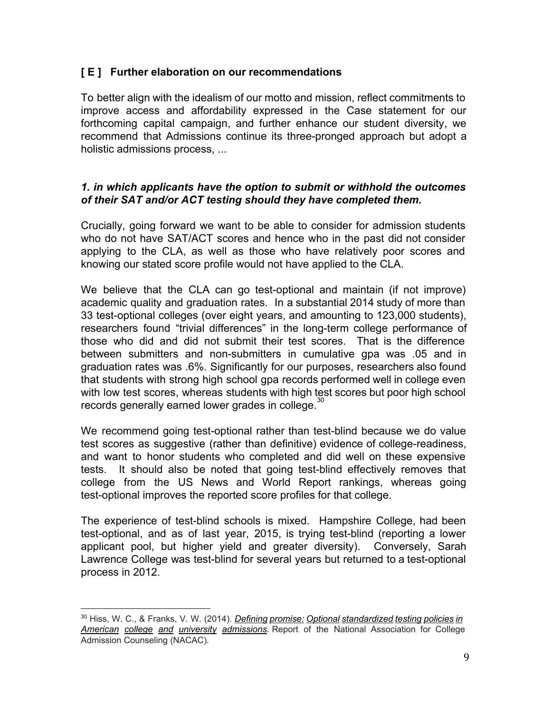## **[ E ] Further elaboration on our recommendations**

To better align with the idealism of our motto and mission, reflect commitments to improve access and affordability expressed in the Case statement for our forthcoming capital campaign, and further enhance our student diversity, we recommend that Admissions continue its three-pronged approach but adopt a holistic admissions process, ...

### *1. in which applicants have the option to submit or withhold the outcomes of their SAT and/or ACT testing should they have completed them.*

Crucially, going forward we want to be able to consider for admission students who do not have SAT/ACT scores and hence who in the past did not consider applying to the CLA, as well as those who have relatively poor scores and knowing our stated score profile would not have applied to the CLA.

We believe that the CLA can go test-optional and maintain (if not improve) academic quality and graduation rates. In a substantial 2014 study of more than 33 test-optional colleges (over eight years, and amounting to 123,000 students). researchers found "trivial differences" in the long-term college performance of those who did and did not submit their test scores. That is the difference between submitters and non-submitters in cumulative gpa was .05 and in graduation rates was .6%. Significantly for our purposes, researchers also found that students with strong high school gpa records performed well in college even with low test scores, whereas students with high test scores but poor high school records generally earned lower grades in college.<sup>30</sup>

We recommend going test-optional rather than test-blind because we do value test scores as suggestive (rather than definitive) evidence of college-readiness, and want to honor students who completed and did well on these expensive tests. It should also be noted that going test-blind effectively removes that college from the US News and World Report rankings, whereas going test-optional improves the reported score profiles for that college.

The experience of test-blind schools is mixed. Hampshire College, had been test-optional, and as of last year, 2015, is trying test-blind (reporting a lower applicant pool, but higher yield and greater diversity). Conversely, Sarah Lawrence College was test-blind for several years but returned to a test-optional process in 2012.

<sup>30</sup> Hiss, W. C., & Franks, V. W. (2014). *Defining promise: Optional [standardized](http://www.nacacnet.org/research/research-data/nacac-research/Documents/DefiningPromise.pdf%20http://www.nacacnet.org/research/research-data/nacac-research/Documents/DefiningPromise.pdf) testing policies in American college and university [admissions.](http://www.nacacnet.org/research/research-data/nacac-research/Documents/DefiningPromise.pdf%20http://www.nacacnet.org/research/research-data/nacac-research/Documents/DefiningPromise.pdf)* Report of the National Association for College Admission Counseling (NACAC)*.*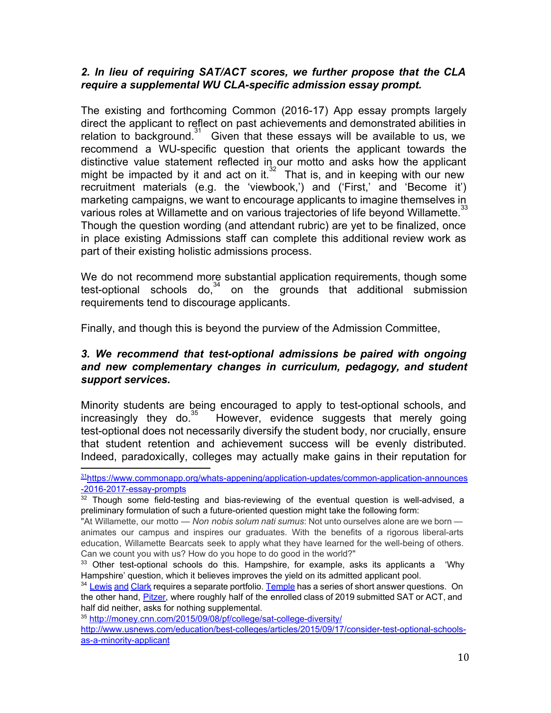## *2. In lieu of requiring SAT/ACT scores, we further propose that the CLA require a supplemental WU CLA-specific admission essay prompt.*

The existing and forthcoming Common (2016-17) App essay prompts largely direct the applicant to reflect on past achievements and demonstrated abilities in relation to background. $31$  Given that these essays will be available to us, we recommend a WU-specific question that orients the applicant towards the distinctive value statement reflected in our motto and asks how the applicant might be impacted by it and act on it. $32$  That is, and in keeping with our new recruitment materials (e.g. the 'viewbook,') and ('First,' and 'Become it') marketing campaigns, we want to encourage applicants to imagine themselves in various roles at Willamette and on various trajectories of life beyond Willamette.<sup>33</sup> Though the question wording (and attendant rubric) are yet to be finalized, once in place existing Admissions staff can complete this additional review work as part of their existing holistic admissions process.

We do not recommend more substantial application requirements, though some  $test$ -optional schools do, $34$  on the grounds that additional submission requirements tend to discourage applicants.

Finally, and though this is beyond the purview of the Admission Committee,

#### *3. We recommend that testoptional admissions be paired with ongoing and new complementary changes in curriculum, pedagogy, and student support services.*

Minority students are being encouraged to apply to test-optional schools, and However, evidence suggests that merely going increasingly they do. $35$ test-optional does not necessarily diversify the student body, nor crucially, ensure that student retention and achievement success will be evenly distributed. Indeed, paradoxically, colleges may actually make gains in their reputation for

<sup>34</sup> [Lewis](https://college.lclark.edu/offices/admissions/apply/portfolio_path/) and Clark requires a separate portfolio. [Temple](http://admissions.temple.edu/node/441#overlay-context=node/441) has a series of short answer questions. On the other hand, [Pitzer,](http://pitweb.pitzer.edu/admission/test-optional-policy/) where roughly half of the enrolled class of 2019 submitted SAT or ACT, and half did neither, asks for nothing supplemental.

35 http://money.cnn.com/2015/09/08/pf/college/sat-college-diversity/

http://www.usnews.com/education/best-colleges/articles/2015/09/17/consider-test-optional-schoolsas-a-minority-applicant

 $\frac{31}{2}$ https://www.commonapp.org/whats-appening/application-updates/common-application-announces -2016-2017-essay-prompts

 $32$  Though some field-testing and bias-reviewing of the eventual question is well-advised, a preliminary formulation of such a future-oriented question might take the following form:

<sup>&</sup>quot;At Willamette, our motto — *Non nobis solum nati sumus*: Not unto ourselves alone are we born animates our campus and inspires our graduates. With the benefits of a rigorous liberal-arts education, Willamette Bearcats seek to apply what they have learned for the well-being of others. Can we count you with us? How do you hope to do good in the world?"

 $33$  Other test-optional schools do this. Hampshire, for example, asks its applicants a 'Why Hampshire' question, which it believes improves the yield on its admitted applicant pool.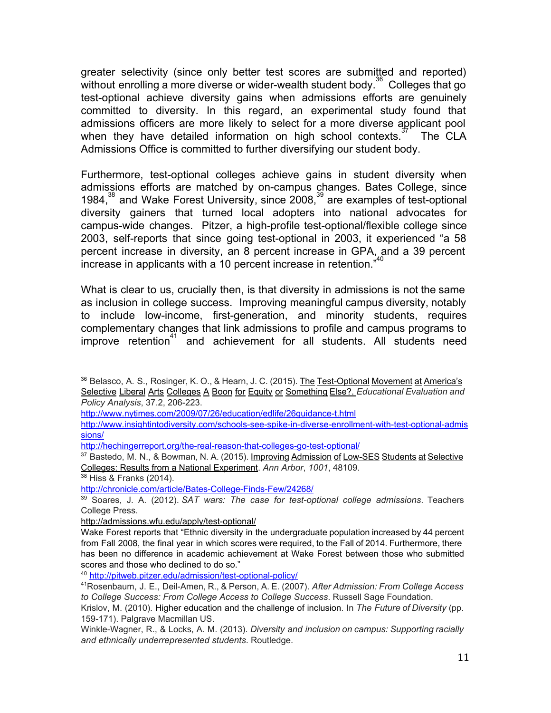greater selectivity (since only better test scores are submitted and reported) without enrolling a more diverse or wider-wealth student body.<sup>36</sup> Colleges that go test-optional achieve diversity gains when admissions efforts are genuinely committed to diversity. In this regard, an experimental study found that admissions officers are more likely to select for a more diverse applicant pool when they have detailed information on high school contexts. $37$  The CLA Admissions Office is committed to further diversifying our student body.

Furthermore, test-optional colleges achieve gains in student diversity when admissions efforts are matched by on-campus changes. Bates College, since 1984, $^{38}$  and Wake Forest University, since 2008, $^{39}$  are examples of test-optional diversity gainers that turned local adopters into national advocates for campus-wide changes. Pitzer, a high-profile test-optional/flexible college since 2003, self-reports that since going test-optional in 2003, it experienced "a 58 percent increase in diversity, an 8 percent increase in GPA, and a 39 percent increase in applicants with a 10 percent increase in retention." 40

What is clear to us, crucially then, is that diversity in admissions is not the same as inclusion in college success. Improving meaningful campus diversity, notably to include low-income, first-generation, and minority students, requires complementary changes that link admissions to profile and campus programs to  $improve$  retention<sup>41</sup> and achievement for all students. All students need

<sup>38</sup> Hiss & Franks (2014).

http://chronicle.com/article/Bates-College-Finds-Few/24268/

40 http://pitweb.pitzer.edu/admission/test-optional-policy/

<sup>36</sup> Belasco, A. S., Rosinger, K. O., & Hearn, J. C. (2015). The Test-Optional Movement at America's Selective Liberal Arts Colleges A Boon for Equity or [Something](http://epa.sagepub.com/content/37/2/206) Else?. *Educational Evaluation and Policy Analysis*, 37.2, 206-223.

http://www.nytimes.com/2009/07/26/education/edlife/26quidance-t.html

http://www.insightintodiversity.com/schools-see-spike-in-diverse-enrollment-with-test-optional-admis [sions/](http://www.insightintodiversity.com/schools-see-spike-in-diverse-enrollment-with-test-optional-admissions/)

http://hechingerreport.org/the-real-reason-that-colleges-go-test-optional/

<sup>37</sup> Bastedo, M. N., & Bowman, N. A. (2015). Improving [Admission](http://www.coalitionforcollegeaccess.org/pdfs/bastedo-contextual-bias.pdf) of Low-SES Students at Selective Colleges: Results from a National [Experiment.](http://www.coalitionforcollegeaccess.org/pdfs/bastedo-contextual-bias.pdf) *Ann Arbor*, *1001*, 48109.

<sup>&</sup>lt;sup>39</sup> Soares, J. A. (2012). *SAT wars: The case for test-optional college admissions*. Teachers College Press.

http://admissions.wfu.edu/apply/test-optional/

Wake Forest reports that "Ethnic diversity in the undergraduate population increased by 44 percent from Fall 2008, the final year in which scores were required, to the Fall of 2014. Furthermore, there has been no difference in academic achievement at Wake Forest between those who submitted scores and those who declined to do so."

<sup>41</sup>Rosenbaum, J. E., DeilAmen, R., & Person, A. E. (2007). *After Admission: From College Access to College Success: From College Access to College Success*. Russell Sage Foundation.

Krislov, M. (2010). Higher [education](http://link.springer.com/chapter/10.1057/9780230107885_12#page-1) and the challenge of inclusion. In *The Future of Diversity* (pp. 159-171). Palgrave Macmillan US.

Winkle-Wagner, R., & Locks, A. M. (2013). *Diversity and inclusion on campus: Supporting racially and ethnically underrepresented students*. Routledge.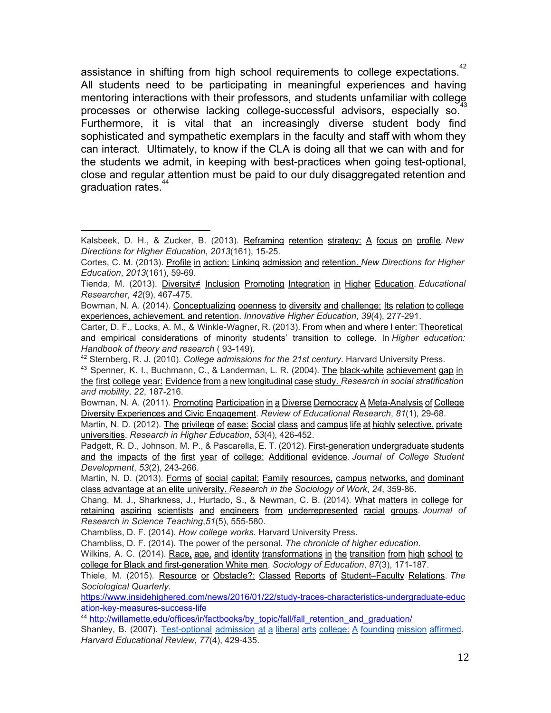assistance in shifting from high school requirements to college expectations.<sup>42</sup> All students need to be participating in meaningful experiences and having mentoring interactions with their professors, and students unfamiliar with college processes or otherwise lacking college-successful advisors, especially so.  $543$ Furthermore, it is vital that an increasingly diverse student body find sophisticated and sympathetic exemplars in the faculty and staff with whom they can interact. Ultimately, to know if the CLA is doing all that we can with and for the students we admit, in keeping with best-practices when going test-optional, close and regular attention must be paid to our duly disaggregated retention and graduation rates.<sup>44</sup>

Carter, D. F., Locks, A. M., & Winkle-Wagner, R. (2013). From when and where I enter: [Theoretical](http://link.springer.com/chapter/10.1007/978-94-007-5836-0_3) and empirical [considerations](http://link.springer.com/chapter/10.1007/978-94-007-5836-0_3) of minority students' transition to college. In *Higher education: Handbook of theory and research* (93-149).

<sup>42</sup> Sternberg, R. J. (2010). *College admissions for the 21st century*. Harvard University Press.

 $43$  Spenner, K. I., Buchmann, C., & Landerman, L. R. (2004). The black-white [achievement](http://www.sciencedirect.com/science/article/pii/S0276562404220078) gap in the first college year: Evidence from a new [longitudinal](http://www.sciencedirect.com/science/article/pii/S0276562404220078) case study. *Research in social stratification and mobility*, 22, 187-216.

Bowman, N. A. (2011). Promoting Participation in a Diverse Democracy A Meta-Analysis of College Diversity Experiences and Civic [Engagement.](http://rer.sagepub.com/content/81/1/29.short) *Review of Educational Research*, *81*(1), 2968.

Martin, N. D. (2012). The privilege of ease: Social class and campus life at highly [selective,](http://link.springer.com/article/10.1007/s11162-011-9234-3) private  $universities.$  *Research in Higher Education*, 53(4), 426-452.

Padgett, R. D., Johnson, M. P., & Pascarella, E. T. (2012). First-generation undergraduate students and the impacts of the first year of college: [Additional](http://muse.jhu.edu/journals/csd/summary/v053/53.2.padgett.html) evidence. *Journal of College Student Development*, 53(2), 243-266.

Martin, N. D. (2013). Forms of social capital: Family [resources,](http://www.emeraldinsight.com/doi/abs/10.1108/S0277-2833(2013)0000024016) campus networks, and dominant class [advantage](http://www.emeraldinsight.com/doi/abs/10.1108/S0277-2833(2013)0000024016) at an elite university. *Research in the Sociology of Work*, *24*, 35986.

Chang, M. J., Sharkness, J., Hurtado, S., & Newman, C. B. (2014). What [matters](http://onlinelibrary.wiley.com/doi/10.1002/tea.21146/abstract) in college for retaining aspiring scientists and engineers from [underrepresented](http://onlinelibrary.wiley.com/doi/10.1002/tea.21146/abstract) racial groups. *Journal of Research in Science Teaching, 51(5), 555-580.* 

Chambliss, D. F. (2014). *How college works*. Harvard University Press.

Chambliss, D. F. (2014). The power of the personal. *The chronicle of higher education*.

Wilkins, A. C. (2014). Race, age, and identity [transformations](http://soe.sagepub.com/content/87/3/171.short) in the transition from high school to college for Black and first-generation White men. *Sociology of Education*, 87(3), 171-187.

Thiele, M. (2015). Resource or Obstacle?: Classed Reports of [Student–Faculty](http://onlinelibrary.wiley.com/doi/10.1111/tsq.12117/abstract) Relations. *The Sociological Quarterly*.

https://www.insidehighered.com/news/2016/01/22/study-traces-characteristics-undergraduate-educ ation-key-measures-success-life

<sup>44</sup> [http://willamette.edu/offices/ir/factbooks/by\\_topic/fall/fall\\_retention\\_and\\_graduation/](http://willamette.edu/offices/ir/factbooks/by_topic/fall/fall_retention_and_graduation/)

Shanley, B. (2007). Test-optional admission at a liberal arts college: A founding mission affirmed. *Harvard Educational Review, 77(4), 429-435[.](http://willamette.edu/offices/ir/factbooks/by_topic/fall/fall_retention_and_graduation/)* 

Kalsbeek, D. H., & Zucker, B. (2013). [Reframing](http://onlinelibrary.wiley.com/doi/10.1002/he.20042/abstract) retention strategy: A focus on profile. *New Directions for Higher Education, 2013(161), 15-25.* 

Cortes, C. M. (2013). Profile in action: Linking [admission](http://onlinelibrary.wiley.com/doi/10.1002/he.20046/abstract) and retention. *New Directions for Higher Education*, 2013(161), 59-69.

Tienda, M. (2013). Diversity≠ Inclusion Promoting [Integration](http://edr.sagepub.com/content/42/9/467.short) in Higher Education. *Educational Researcher, 42(9), 467-475.* 

Bowman, N. A. (2014). [Conceptualizing](http://link.springer.com/article/10.1007/s10755-014-9281-8) openness to diversity and challenge: Its relation to college experiences, [achievement,](http://link.springer.com/article/10.1007/s10755-014-9281-8) and retention. *Innovative Higher Education*, *39*(4), 277291.